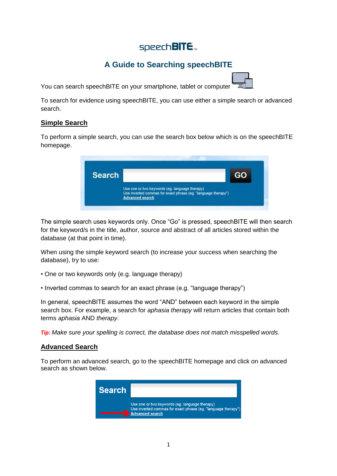# speech**BITE** m

## **A Guide to Searching speechBITE**

You can search speech BITE on your smartphone, tablet or computer

To search for evidence using speechBITE, you can use either a simple search or advanced search.

## **Simple Search**

To perform a simple search, you can use the search box below which is on the speechBITE homepage.



The simple search uses keywords only. Once "Go" is pressed, speechBITE will then search for the keyword/s in the title, author, source and abstract of all articles stored within the database (at that point in time).

When using the simple keyword search (to increase your success when searching the database), try to use:

- One or two keywords only (e.g. language therapy)
- Inverted commas to search for an exact phrase (e.g. "language therapy")

In general, speechBITE assumes the word "AND" between each keyword in the simple search box. For example, a search for *aphasia therapy* will return articles that contain both terms *aphasia* AND *therapy*.

*Tip: Make sure your spelling is correct, the database does not match misspelled words.*

## **Advanced Search**

To perform an advanced search, go to the speechBITE homepage and click on advanced search as shown below.

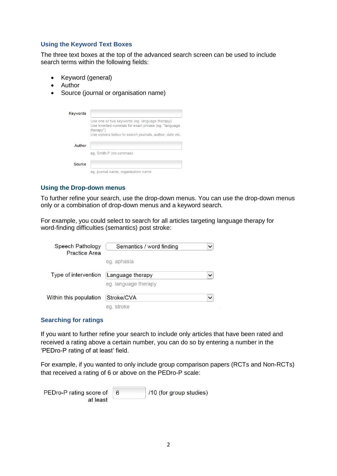#### **Using the Keyword Text Boxes**

The three text boxes at the top of the advanced search screen can be used to include search terms within the following fields:

- Keyword (general)
- Author
- Source (journal or organisation name)

| <b>Keywords</b> |                                                                                                                                                                               |
|-----------------|-------------------------------------------------------------------------------------------------------------------------------------------------------------------------------|
|                 | Use one or two keywords (eg. language therapy)<br>Use inverted commas for exact phrase (eg. "language<br>therapy")<br>Use options below to search journals, author, date etc. |
| Author          | eq. Smith P (no commas)                                                                                                                                                       |
| Source          | eg. journal name, organisation name                                                                                                                                           |

#### **Using the Drop-down menus**

To further refine your search, use the drop-down menus. You can use the drop-down menus only or a combination of drop-down menus and a keyword search.

For example, you could select to search for all articles targeting language therapy for word-finding difficulties (semantics) post stroke:

| Speech Pathology<br><b>Practice Area</b> | Semantics / word finding | $\checkmark$ |
|------------------------------------------|--------------------------|--------------|
|                                          | eg. aphasia              |              |
| Type of intervention                     | Language therapy         | $\checkmark$ |
|                                          | eg. language therapy     |              |
| Within this population                   | Stroke/CVA               | $\checkmark$ |
|                                          | eg. stroke               |              |

#### **Searching for ratings**

If you want to further refine your search to include only articles that have been rated and received a rating above a certain number, you can do so by entering a number in the 'PEDro-P rating of at least' field.

For example, if you wanted to only include group comparison papers (RCTs and Non-RCTs) that received a rating of 6 or above on the PEDro-P scale:

| PEDro-P rating score of 6 | $10$ (for group studies) |
|---------------------------|--------------------------|
| at least                  |                          |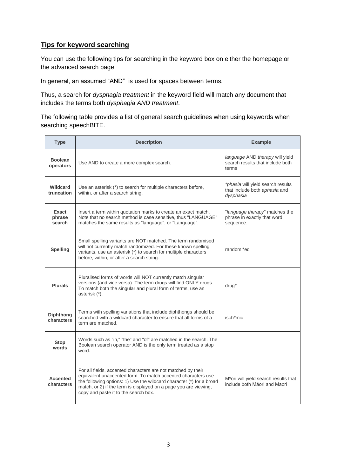## **Tips for keyword searching**

You can use the following tips for searching in the keyword box on either the homepage or the advanced search page.

In general, an assumed "AND" is used for spaces between terms.

Thus, a search for *dysphagia treatment* in the keyword field will match any document that includes the terms both *dysphagia AND treatment*.

The following table provides a list of general search guidelines when using keywords when searching speechBITE.

| <b>Type</b>                    | <b>Description</b>                                                                                                                                                                                                                                                                                               | <b>Example</b>                                                                         |
|--------------------------------|------------------------------------------------------------------------------------------------------------------------------------------------------------------------------------------------------------------------------------------------------------------------------------------------------------------|----------------------------------------------------------------------------------------|
| <b>Boolean</b><br>operators    | Use AND to create a more complex search.                                                                                                                                                                                                                                                                         | language AND therapy will yield<br>search results that include both<br>terms           |
| <b>Wildcard</b><br>truncation  | Use an asterisk (*) to search for multiple characters before,<br>within, or after a search string.                                                                                                                                                                                                               | <i>*phasia</i> will yield search results<br>that include both aphasia and<br>dysphasia |
| Exact<br>phrase<br>search      | Insert a term within quotation marks to create an exact match.<br>Note that no search method is case sensitive, thus "LANGUAGE"<br>matches the same results as "language", or "Language".                                                                                                                        | "language therapy" matches the<br>phrase in exactly that word<br>sequence.             |
| <b>Spelling</b>                | Small spelling variants are NOT matched. The term randomised<br>will not currently match randomized. For these known spelling<br>variants, use an asterisk (*) to search for multiple characters<br>before, within, or after a search string.                                                                    | randomi*ed                                                                             |
| <b>Plurals</b>                 | Pluralised forms of words will NOT currently match singular<br>versions (and vice versa). The term drugs will find ONLY drugs.<br>To match both the singular and plural form of terms, use an<br>asterisk (*).                                                                                                   | drug*                                                                                  |
| <b>Diphthong</b><br>characters | Terms with spelling variations that include diphthongs should be<br>searched with a wildcard character to ensure that all forms of a<br>term are matched.                                                                                                                                                        | isch*mic                                                                               |
| Stop<br>words                  | Words such as "in," "the" and "of" are matched in the search. The<br>Boolean search operator AND is the only term treated as a stop<br>word.                                                                                                                                                                     |                                                                                        |
| <b>Accented</b><br>characters  | For all fields, accented characters are not matched by their<br>equivalent unaccented form. To match accented characters use<br>the following options: 1) Use the wildcard character (*) for a broad<br>match, or 2) if the term is displayed on a page you are viewing,<br>copy and paste it to the search box. | M*ori will yield search results that<br>include both Māori and Maori                   |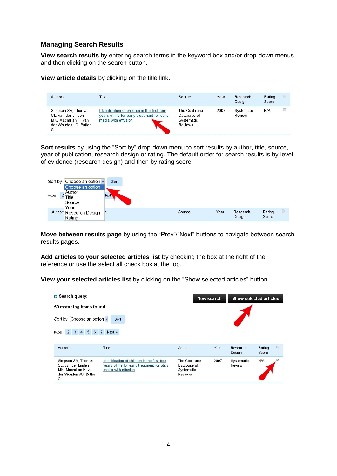## **Managing Search Results**

**View search results** by entering search terms in the keyword box and/or drop-down menus and then clicking on the search button.

**View article details** by clicking on the title link.

| Authors                                                                                        | Title                                                                                                               | Source                                               | Year | Research<br>Design   | Rating<br>Score | L |
|------------------------------------------------------------------------------------------------|---------------------------------------------------------------------------------------------------------------------|------------------------------------------------------|------|----------------------|-----------------|---|
| Simpson SA, Thomas<br>CL. van der Linden<br>MK. Macmillan H. van<br>der Wouden JC. Butler<br>С | Identification of children in the first four<br>years of life for early treatment for otitis<br>media with effusion | The Cochrane<br>Database of<br>Systematic<br>Reviews | 2007 | Systematic<br>Review | N/A             |   |

**Sort results** by using the "Sort by" drop-down menu to sort results by author, title, source, year of publication, research design or rating. The default order for search results is by level of evidence (research design) and then by rating score.



**Move between results page** by using the "Prev"/"Next" buttons to navigate between search results pages.

**Add articles to your selected articles list** by checking the box at the right of the reference or use the select all check box at the top.

**View your selected articles list** by clicking on the "Show selected articles" button.

| <b>B</b> Search query:<br>69 matching items found<br>Choose an option v<br>Sort by             | Sort                                                                                                                | New search                                           |      | Show selected articles |                           |
|------------------------------------------------------------------------------------------------|---------------------------------------------------------------------------------------------------------------------|------------------------------------------------------|------|------------------------|---------------------------|
| 3 4 5 6 7<br>$\overline{2}$<br>PAGE 1                                                          | Next »                                                                                                              |                                                      |      |                        |                           |
| Authors                                                                                        | Title                                                                                                               | Source                                               | Year | Research<br>Design     | $\Box$<br>Rating<br>Score |
| Simpson SA, Thomas<br>CL, van der Linden<br>MK, Macmillan H, van<br>der Wouden JC, Butler<br>C | Identification of children in the first four<br>years of life for early treatment for otitis<br>media with effusion | The Cochrane<br>Database of<br>Systematic<br>Reviews | 2007 | Systematic<br>Review   | N/A                       |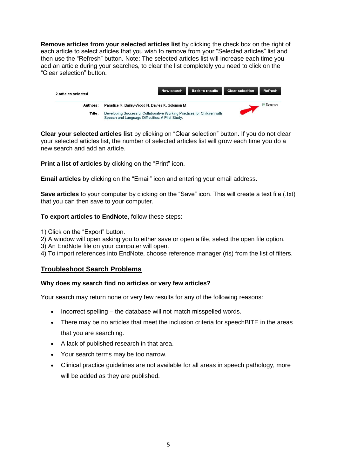**Remove articles from your selected articles list** by clicking the check box on the right of each article to select articles that you wish to remove from your "Selected articles" list and then use the "Refresh" button. Note: The selected articles list will increase each time you add an article during your searches, to clear the list completely you need to click on the "Clear selection" button.

| 2 articles selected |                                                                                                                             | New search | <b>Back to results</b> | <b>Clear selection</b> | Refresh |
|---------------------|-----------------------------------------------------------------------------------------------------------------------------|------------|------------------------|------------------------|---------|
| Authors:            | Paradice R. Bailey-Wood N. Davies K. Solomon M.                                                                             |            |                        |                        | Remove  |
| Title:              | Developing Successful Collaborative Working Practices for Children with<br>Speech and Language Difficulties: A Pilot Study. |            |                        |                        |         |

**Clear your selected articles list** by clicking on "Clear selection" button. If you do not clear your selected articles list, the number of selected articles list will grow each time you do a new search and add an article.

**Print a list of articles** by clicking on the "Print" icon.

**Email articles** by clicking on the "Email" icon and entering your email address.

**Save articles** to your computer by clicking on the "Save" icon. This will create a text file (.txt) that you can then save to your computer.

#### **To export articles to EndNote**, follow these steps:

1) Click on the "Export" button.

2) A window will open asking you to either save or open a file, select the open file option.

3) An EndNote file on your computer will open.

4) To import references into EndNote, choose reference manager (ris) from the list of filters.

## **Troubleshoot Search Problems**

#### **Why does my search find no articles or very few articles?**

Your search may return none or very few results for any of the following reasons:

- Incorrect spelling the database will not match misspelled words.
- There may be no articles that meet the inclusion criteria for speechBITE in the areas that you are searching.
- A lack of published research in that area.
- Your search terms may be too narrow.
- Clinical practice guidelines are not available for all areas in speech pathology, more will be added as they are published.